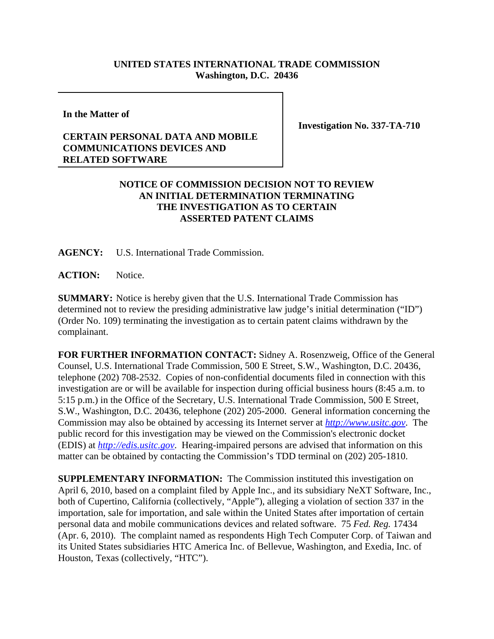## **UNITED STATES INTERNATIONAL TRADE COMMISSION Washington, D.C. 20436**

**In the Matter of**

## **CERTAIN PERSONAL DATA AND MOBILE COMMUNICATIONS DEVICES AND RELATED SOFTWARE**

**Investigation No. 337-TA-710**

## **NOTICE OF COMMISSION DECISION NOT TO REVIEW AN INITIAL DETERMINATION TERMINATING THE INVESTIGATION AS TO CERTAIN ASSERTED PATENT CLAIMS**

**AGENCY:** U.S. International Trade Commission.

**ACTION:** Notice.

**SUMMARY:** Notice is hereby given that the U.S. International Trade Commission has determined not to review the presiding administrative law judge's initial determination ("ID") (Order No. 109) terminating the investigation as to certain patent claims withdrawn by the complainant.

**FOR FURTHER INFORMATION CONTACT:** Sidney A. Rosenzweig, Office of the General Counsel, U.S. International Trade Commission, 500 E Street, S.W., Washington, D.C. 20436, telephone (202) 708-2532. Copies of non-confidential documents filed in connection with this investigation are or will be available for inspection during official business hours (8:45 a.m. to 5:15 p.m.) in the Office of the Secretary, U.S. International Trade Commission, 500 E Street, S.W., Washington, D.C. 20436, telephone (202) 205-2000. General information concerning the Commission may also be obtained by accessing its Internet server at *http://www.usitc.gov*. The public record for this investigation may be viewed on the Commission's electronic docket (EDIS) at *http://edis.usitc.gov*. Hearing-impaired persons are advised that information on this matter can be obtained by contacting the Commission's TDD terminal on (202) 205-1810.

**SUPPLEMENTARY INFORMATION:** The Commission instituted this investigation on April 6, 2010, based on a complaint filed by Apple Inc., and its subsidiary NeXT Software, Inc., both of Cupertino, California (collectively, "Apple"), alleging a violation of section 337 in the importation, sale for importation, and sale within the United States after importation of certain personal data and mobile communications devices and related software. 75 *Fed. Reg.* 17434 (Apr. 6, 2010). The complaint named as respondents High Tech Computer Corp. of Taiwan and its United States subsidiaries HTC America Inc. of Bellevue, Washington, and Exedia, Inc. of Houston, Texas (collectively, "HTC").